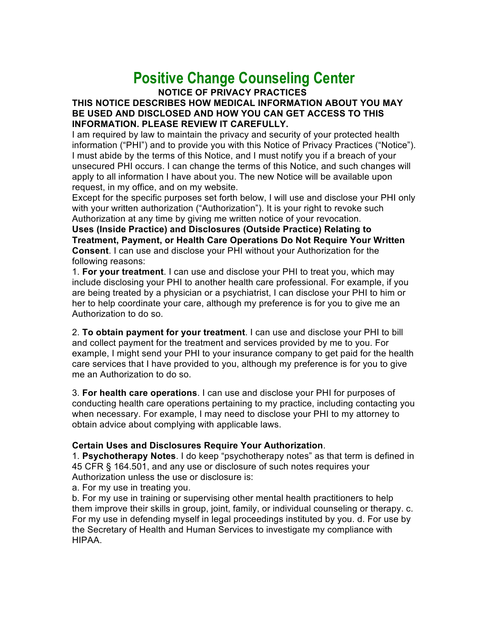## **Positive Change Counseling Center**

**NOTICE OF PRIVACY PRACTICES THIS NOTICE DESCRIBES HOW MEDICAL INFORMATION ABOUT YOU MAY BE USED AND DISCLOSED AND HOW YOU CAN GET ACCESS TO THIS INFORMATION. PLEASE REVIEW IT CAREFULLY.** 

I am required by law to maintain the privacy and security of your protected health information ("PHI") and to provide you with this Notice of Privacy Practices ("Notice"). I must abide by the terms of this Notice, and I must notify you if a breach of your unsecured PHI occurs. I can change the terms of this Notice, and such changes will apply to all information I have about you. The new Notice will be available upon request, in my office, and on my website.

Except for the specific purposes set forth below, I will use and disclose your PHI only with your written authorization ("Authorization"). It is your right to revoke such Authorization at any time by giving me written notice of your revocation.

**Uses (Inside Practice) and Disclosures (Outside Practice) Relating to Treatment, Payment, or Health Care Operations Do Not Require Your Written Consent**. I can use and disclose your PHI without your Authorization for the following reasons:

1. **For your treatment**. I can use and disclose your PHI to treat you, which may include disclosing your PHI to another health care professional. For example, if you are being treated by a physician or a psychiatrist, I can disclose your PHI to him or her to help coordinate your care, although my preference is for you to give me an Authorization to do so.

2. **To obtain payment for your treatment**. I can use and disclose your PHI to bill and collect payment for the treatment and services provided by me to you. For example, I might send your PHI to your insurance company to get paid for the health care services that I have provided to you, although my preference is for you to give me an Authorization to do so.

3. **For health care operations**. I can use and disclose your PHI for purposes of conducting health care operations pertaining to my practice, including contacting you when necessary. For example, I may need to disclose your PHI to my attorney to obtain advice about complying with applicable laws.

## **Certain Uses and Disclosures Require Your Authorization**.

1. **Psychotherapy Notes**. I do keep "psychotherapy notes" as that term is defined in 45 CFR § 164.501, and any use or disclosure of such notes requires your Authorization unless the use or disclosure is:

a. For my use in treating you.

b. For my use in training or supervising other mental health practitioners to help them improve their skills in group, joint, family, or individual counseling or therapy. c. For my use in defending myself in legal proceedings instituted by you. d. For use by the Secretary of Health and Human Services to investigate my compliance with HIPAA.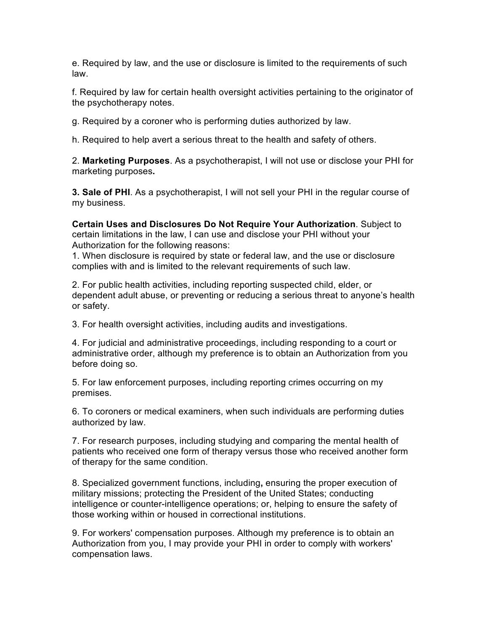e. Required by law, and the use or disclosure is limited to the requirements of such law.

f. Required by law for certain health oversight activities pertaining to the originator of the psychotherapy notes.

g. Required by a coroner who is performing duties authorized by law.

h. Required to help avert a serious threat to the health and safety of others.

2. **Marketing Purposes**. As a psychotherapist, I will not use or disclose your PHI for marketing purposes**.** 

**3. Sale of PHI**. As a psychotherapist, I will not sell your PHI in the regular course of my business.

**Certain Uses and Disclosures Do Not Require Your Authorization**. Subject to certain limitations in the law, I can use and disclose your PHI without your Authorization for the following reasons:

1. When disclosure is required by state or federal law, and the use or disclosure complies with and is limited to the relevant requirements of such law.

2. For public health activities, including reporting suspected child, elder, or dependent adult abuse, or preventing or reducing a serious threat to anyone's health or safety.

3. For health oversight activities, including audits and investigations.

4. For judicial and administrative proceedings, including responding to a court or administrative order, although my preference is to obtain an Authorization from you before doing so.

5. For law enforcement purposes, including reporting crimes occurring on my premises.

6. To coroners or medical examiners, when such individuals are performing duties authorized by law.

7. For research purposes, including studying and comparing the mental health of patients who received one form of therapy versus those who received another form of therapy for the same condition.

8. Specialized government functions, including**,** ensuring the proper execution of military missions; protecting the President of the United States; conducting intelligence or counter-intelligence operations; or, helping to ensure the safety of those working within or housed in correctional institutions.

9. For workers' compensation purposes. Although my preference is to obtain an Authorization from you, I may provide your PHI in order to comply with workers' compensation laws.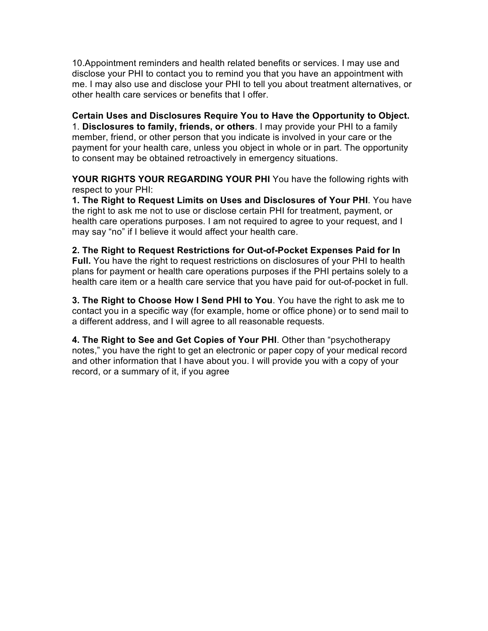10.Appointment reminders and health related benefits or services. I may use and disclose your PHI to contact you to remind you that you have an appointment with me. I may also use and disclose your PHI to tell you about treatment alternatives, or other health care services or benefits that I offer.

**Certain Uses and Disclosures Require You to Have the Opportunity to Object.**  1. **Disclosures to family, friends, or others**. I may provide your PHI to a family member, friend, or other person that you indicate is involved in your care or the payment for your health care, unless you object in whole or in part. The opportunity to consent may be obtained retroactively in emergency situations.

**YOUR RIGHTS YOUR REGARDING YOUR PHI** You have the following rights with respect to your PHI:

**1. The Right to Request Limits on Uses and Disclosures of Your PHI**. You have the right to ask me not to use or disclose certain PHI for treatment, payment, or health care operations purposes. I am not required to agree to your request, and I may say "no" if I believe it would affect your health care.

**2. The Right to Request Restrictions for Out-of-Pocket Expenses Paid for In Full.** You have the right to request restrictions on disclosures of your PHI to health plans for payment or health care operations purposes if the PHI pertains solely to a health care item or a health care service that you have paid for out-of-pocket in full.

**3. The Right to Choose How I Send PHI to You**. You have the right to ask me to contact you in a specific way (for example, home or office phone) or to send mail to a different address, and I will agree to all reasonable requests.

**4. The Right to See and Get Copies of Your PHI**. Other than "psychotherapy notes," you have the right to get an electronic or paper copy of your medical record and other information that I have about you. I will provide you with a copy of your record, or a summary of it, if you agree